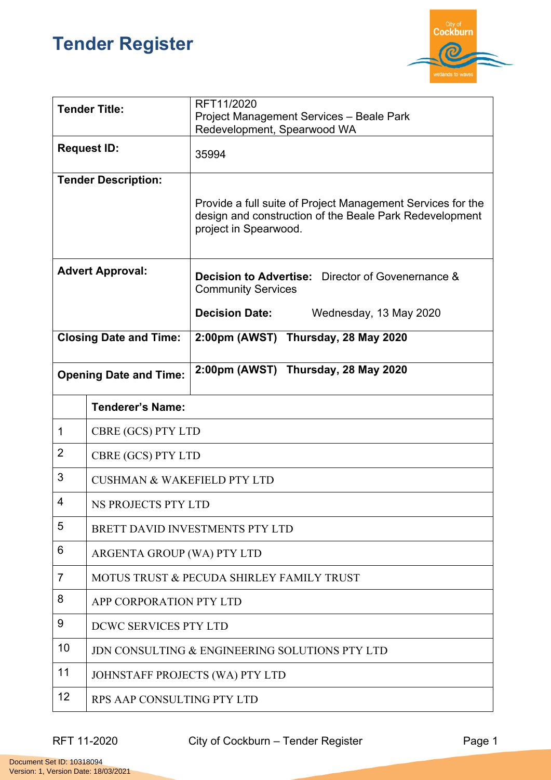## **Tender Register**



| <b>Tender Title:</b>          |                                                | RFT11/2020<br>Project Management Services - Beale Park<br>Redevelopment, Spearwood WA                                                           |  |
|-------------------------------|------------------------------------------------|-------------------------------------------------------------------------------------------------------------------------------------------------|--|
| <b>Request ID:</b>            |                                                | 35994                                                                                                                                           |  |
| <b>Tender Description:</b>    |                                                | Provide a full suite of Project Management Services for the<br>design and construction of the Beale Park Redevelopment<br>project in Spearwood. |  |
| <b>Advert Approval:</b>       |                                                | <b>Decision to Advertise:</b> Director of Govenernance &<br><b>Community Services</b>                                                           |  |
|                               |                                                | <b>Decision Date:</b><br>Wednesday, 13 May 2020                                                                                                 |  |
| <b>Closing Date and Time:</b> |                                                | 2:00pm (AWST) Thursday, 28 May 2020                                                                                                             |  |
| <b>Opening Date and Time:</b> |                                                | 2:00pm (AWST) Thursday, 28 May 2020                                                                                                             |  |
|                               | <b>Tenderer's Name:</b>                        |                                                                                                                                                 |  |
| 1                             | CBRE (GCS) PTY LTD                             |                                                                                                                                                 |  |
| $\overline{2}$                | CBRE (GCS) PTY LTD                             |                                                                                                                                                 |  |
| 3                             | <b>CUSHMAN &amp; WAKEFIELD PTY LTD</b>         |                                                                                                                                                 |  |
| 4                             | <b>NS PROJECTS PTY LTD</b>                     |                                                                                                                                                 |  |
| 5                             | BRETT DAVID INVESTMENTS PTY LTD                |                                                                                                                                                 |  |
| 6                             | ARGENTA GROUP (WA) PTY LTD                     |                                                                                                                                                 |  |
| 7                             | MOTUS TRUST & PECUDA SHIRLEY FAMILY TRUST      |                                                                                                                                                 |  |
| 8                             | APP CORPORATION PTY LTD                        |                                                                                                                                                 |  |
| 9                             | DCWC SERVICES PTY LTD                          |                                                                                                                                                 |  |
| 10                            | JDN CONSULTING & ENGINEERING SOLUTIONS PTY LTD |                                                                                                                                                 |  |
| 11                            | JOHNSTAFF PROJECTS (WA) PTY LTD                |                                                                                                                                                 |  |
| 12                            | RPS AAP CONSULTING PTY LTD                     |                                                                                                                                                 |  |